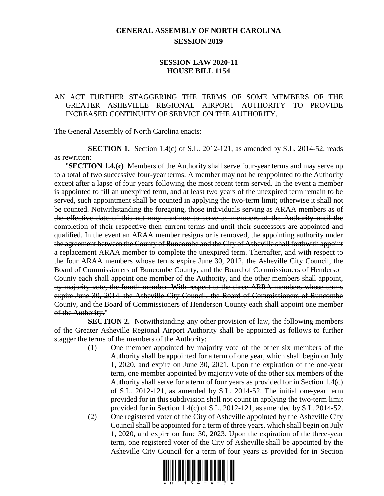## **GENERAL ASSEMBLY OF NORTH CAROLINA SESSION 2019**

## **SESSION LAW 2020-11 HOUSE BILL 1154**

## AN ACT FURTHER STAGGERING THE TERMS OF SOME MEMBERS OF THE GREATER ASHEVILLE REGIONAL AIRPORT AUTHORITY TO PROVIDE INCREASED CONTINUITY OF SERVICE ON THE AUTHORITY.

The General Assembly of North Carolina enacts:

**SECTION 1.** Section 1.4(c) of S.L. 2012-121, as amended by S.L. 2014-52, reads as rewritten:

"**SECTION 1.4.(c)** Members of the Authority shall serve four-year terms and may serve up to a total of two successive four-year terms. A member may not be reappointed to the Authority except after a lapse of four years following the most recent term served. In the event a member is appointed to fill an unexpired term, and at least two years of the unexpired term remain to be served, such appointment shall be counted in applying the two-term limit; otherwise it shall not be counted. Notwithstanding the foregoing, those individuals serving as ARAA members as of the effective date of this act may continue to serve as members of the Authority until the completion of their respective then current terms and until their successors are appointed and qualified. In the event an ARAA member resigns or is removed, the appointing authority under the agreement between the County of Buncombe and the City of Asheville shall forthwith appoint a replacement ARAA member to complete the unexpired term. Thereafter, and with respect to the four ARAA members whose terms expire June 30, 2012, the Asheville City Council, the Board of Commissioners of Buncombe County, and the Board of Commissioners of Henderson County each shall appoint one member of the Authority, and the other members shall appoint, by majority vote, the fourth member. With respect to the three ARRA members whose terms expire June 30, 2014, the Asheville City Council, the Board of Commissioners of Buncombe County, and the Board of Commissioners of Henderson County each shall appoint one member of the Authority."

**SECTION 2.** Notwithstanding any other provision of law, the following members of the Greater Asheville Regional Airport Authority shall be appointed as follows to further stagger the terms of the members of the Authority:

- (1) One member appointed by majority vote of the other six members of the Authority shall be appointed for a term of one year, which shall begin on July 1, 2020, and expire on June 30, 2021. Upon the expiration of the one-year term, one member appointed by majority vote of the other six members of the Authority shall serve for a term of four years as provided for in Section 1.4(c) of S.L. 2012-121, as amended by S.L. 2014-52. The initial one-year term provided for in this subdivision shall not count in applying the two-term limit provided for in Section 1.4(c) of S.L. 2012-121, as amended by S.L. 2014-52.
- (2) One registered voter of the City of Asheville appointed by the Asheville City Council shall be appointed for a term of three years, which shall begin on July 1, 2020, and expire on June 30, 2023. Upon the expiration of the three-year term, one registered voter of the City of Asheville shall be appointed by the Asheville City Council for a term of four years as provided for in Section